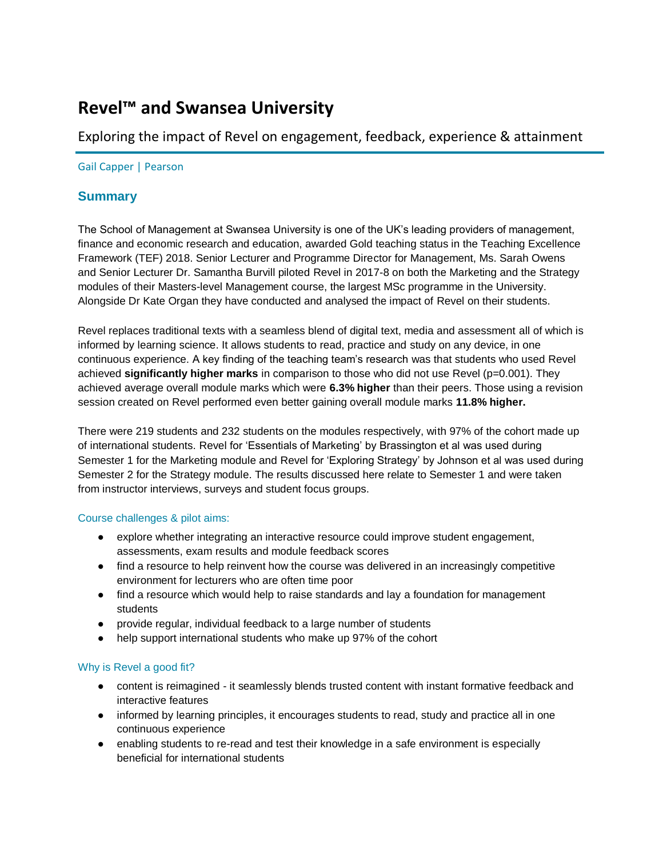# **Revel™ and Swansea University**

# Exploring the impact of Revel on engagement, feedback, experience & attainment

## Gail Capper | Pearson

## **Summary**

The School of Management at Swansea University is one of the UK's leading providers of management, finance and economic research and education, awarded Gold teaching status in the Teaching Excellence Framework (TEF) 2018. Senior Lecturer and Programme Director for Management, Ms. Sarah Owens and Senior Lecturer Dr. Samantha Burvill piloted Revel in 2017-8 on both the Marketing and the Strategy modules of their Masters-level Management course, the largest MSc programme in the University. Alongside Dr Kate Organ they have conducted and analysed the impact of Revel on their students.

Revel replaces traditional texts with a seamless blend of digital text, media and assessment all of which is informed by learning science. It allows students to read, practice and study on any device, in one continuous experience. A key finding of the teaching team's research was that students who used Revel achieved **significantly higher marks** in comparison to those who did not use Revel (p=0.001). They achieved average overall module marks which were **6.3% higher** than their peers. Those using a revision session created on Revel performed even better gaining overall module marks **11.8% higher.**

There were 219 students and 232 students on the modules respectively, with 97% of the cohort made up of international students. Revel for 'Essentials of Marketing' by Brassington et al was used during Semester 1 for the Marketing module and Revel for 'Exploring Strategy' by Johnson et al was used during Semester 2 for the Strategy module. The results discussed here relate to Semester 1 and were taken from instructor interviews, surveys and student focus groups.

## Course challenges & pilot aims:

- explore whether integrating an interactive resource could improve student engagement, assessments, exam results and module feedback scores
- find a resource to help reinvent how the course was delivered in an increasingly competitive environment for lecturers who are often time poor
- find a resource which would help to raise standards and lay a foundation for management students
- provide regular, individual feedback to a large number of students
- help support international students who make up 97% of the cohort

## Why is Revel a good fit?

- content is reimagined it seamlessly blends trusted content with instant formative feedback and interactive features
- informed by learning principles, it encourages students to read, study and practice all in one continuous experience
- enabling students to re-read and test their knowledge in a safe environment is especially beneficial for international students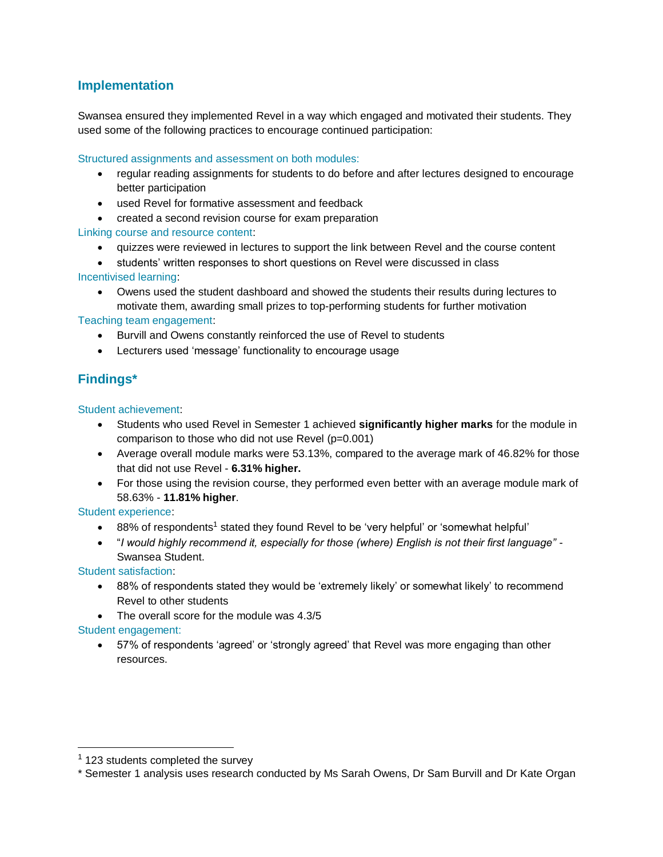# **Implementation**

Swansea ensured they implemented Revel in a way which engaged and motivated their students. They used some of the following practices to encourage continued participation:

## Structured assignments and assessment on both modules:

- regular reading assignments for students to do before and after lectures designed to encourage better participation
- used Revel for formative assessment and feedback
- created a second revision course for exam preparation

## Linking course and resource content:

- quizzes were reviewed in lectures to support the link between Revel and the course content
- students' written responses to short questions on Revel were discussed in class Incentivised learning:
	- Owens used the student dashboard and showed the students their results during lectures to motivate them, awarding small prizes to top-performing students for further motivation

## Teaching team engagement:

- Burvill and Owens constantly reinforced the use of Revel to students
- Lecturers used 'message' functionality to encourage usage

# **Findings\***

Student achievement:

- Students who used Revel in Semester 1 achieved **significantly higher marks** for the module in comparison to those who did not use Revel (p=0.001)
- Average overall module marks were 53.13%, compared to the average mark of 46.82% for those that did not use Revel - **6.31% higher.**
- For those using the revision course, they performed even better with an average module mark of 58.63% - **11.81% higher**.

## Student experience:

- 88% of respondents<sup>1</sup> stated they found Revel to be 'very helpful' or 'somewhat helpful'
- "*I would highly recommend it, especially for those (where) English is not their first language"* Swansea Student.

Student satisfaction:

- 88% of respondents stated they would be 'extremely likely' or somewhat likely' to recommend Revel to other students
- The overall score for the module was 4.3/5

## Student engagement:

 $\overline{a}$ 

• 57% of respondents 'agreed' or 'strongly agreed' that Revel was more engaging than other resources.

 $1$  123 students completed the survey

<sup>\*</sup> Semester 1 analysis uses research conducted by Ms Sarah Owens, Dr Sam Burvill and Dr Kate Organ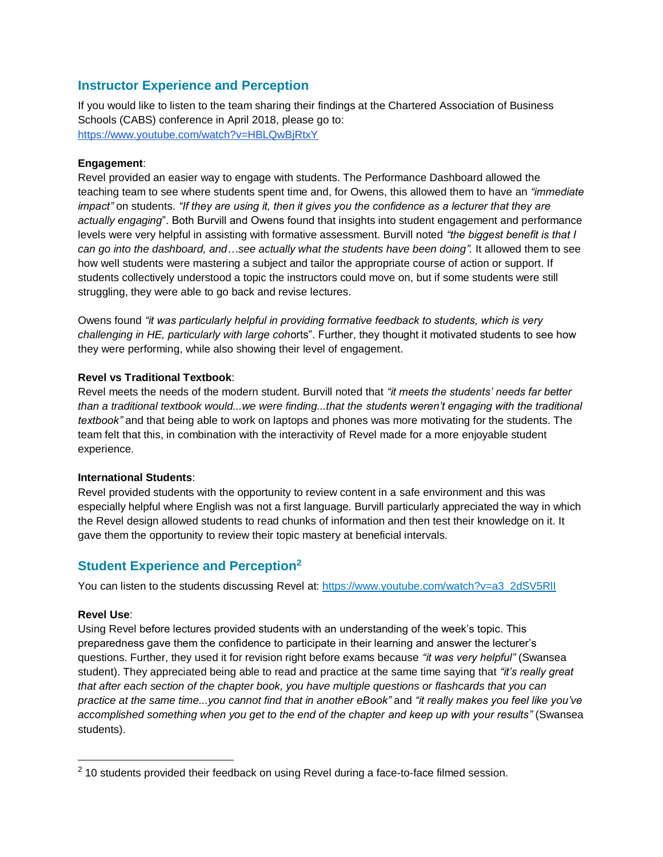## **Instructor Experience and Perception**

If you would like to listen to the team sharing their findings at the Chartered Association of Business Schools (CABS) conference in April 2018, please go to: <https://www.youtube.com/watch?v=HBLQwBjRtxY>

#### **Engagement**:

Revel provided an easier way to engage with students. The Performance Dashboard allowed the teaching team to see where students spent time and, for Owens, this allowed them to have an *"immediate impact"* on students. *"If they are using it, then it gives you the confidence as a lecturer that they are actually engaging*". Both Burvill and Owens found that insights into student engagement and performance levels were very helpful in assisting with formative assessment. Burvill noted *"the biggest benefit is that I can go into the dashboard, and…see actually what the students have been doing".* It allowed them to see how well students were mastering a subject and tailor the appropriate course of action or support. If students collectively understood a topic the instructors could move on, but if some students were still struggling, they were able to go back and revise lectures.

Owens found *"it was particularly helpful in providing formative feedback to students, which is very challenging in HE, particularly with large coh*orts". Further, they thought it motivated students to see how they were performing, while also showing their level of engagement.

## **Revel vs Traditional Textbook**:

Revel meets the needs of the modern student. Burvill noted that *"it meets the students' needs far better than a traditional textbook would...we were finding...that the students weren't engaging with the traditional textbook"* and that being able to work on laptops and phones was more motivating for the students. The team felt that this, in combination with the interactivity of Revel made for a more enjoyable student experience.

#### **International Students**:

Revel provided students with the opportunity to review content in a safe environment and this was especially helpful where English was not a first language. Burvill particularly appreciated the way in which the Revel design allowed students to read chunks of information and then test their knowledge on it. It gave them the opportunity to review their topic mastery at beneficial intervals.

## **Student Experience and Perception<sup>2</sup>**

You can listen to the students discussing Revel at: [https://www.youtube.com/watch?v=a3\\_2dSV5RlI](https://www.youtube.com/watch?v=a3_2dSV5RlI)

#### **Revel Use**:

Using Revel before lectures provided students with an understanding of the week's topic. This preparedness gave them the confidence to participate in their learning and answer the lecturer's questions. Further, they used it for revision right before exams because *"it was very helpful"* (Swansea student). They appreciated being able to read and practice at the same time saying that *"it's really great that after each section of the chapter book, you have multiple questions or flashcards that you can practice at the same time...you cannot find that in another eBook"* and *"it really makes you feel like you've accomplished something when you get to the end of the chapter and keep up with your results"* (Swansea students).

 $2$  10 students provided their feedback on using Revel during a face-to-face filmed session.